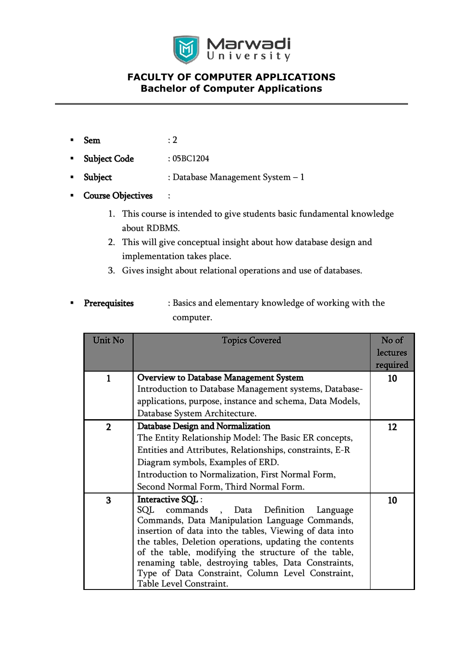

# **FACULTY OF COMPUTER APPLICATIONS Bachelor of Computer Applications**

- $Sem$  : 2
- Subject Code : 05BC1204
- Subject : Database Management System 1
- Course Objectives :
	- 1. This course is intended to give students basic fundamental knowledge about RDBMS.
	- 2. This will give conceptual insight about how database design and implementation takes place.
	- 3. Gives insight about relational operations and use of databases.
- **Prerequisites** : Basics and elementary knowledge of working with the computer.

| Unit No      | <b>Topics Covered</b>                                    | No of    |
|--------------|----------------------------------------------------------|----------|
|              |                                                          | lectures |
|              |                                                          | required |
| 1            | <b>Overview to Database Management System</b>            | 10       |
|              | Introduction to Database Management systems, Database-   |          |
|              | applications, purpose, instance and schema, Data Models, |          |
|              | Database System Architecture.                            |          |
| $\mathbf{2}$ | Database Design and Normalization                        | 12       |
|              | The Entity Relationship Model: The Basic ER concepts,    |          |
|              | Entities and Attributes, Relationships, constraints, E-R |          |
|              | Diagram symbols, Examples of ERD.                        |          |
|              | Introduction to Normalization, First Normal Form,        |          |
|              | Second Normal Form, Third Normal Form.                   |          |
| 3            | Interactive SQL:                                         | 10       |
|              | commands, Data Definition<br>SQL<br>Language             |          |
|              | Commands, Data Manipulation Language Commands,           |          |
|              | insertion of data into the tables, Viewing of data into  |          |
|              | the tables, Deletion operations, updating the contents   |          |
|              | of the table, modifying the structure of the table,      |          |
|              | renaming table, destroying tables, Data Constraints,     |          |
|              | Type of Data Constraint, Column Level Constraint,        |          |
|              | Table Level Constraint.                                  |          |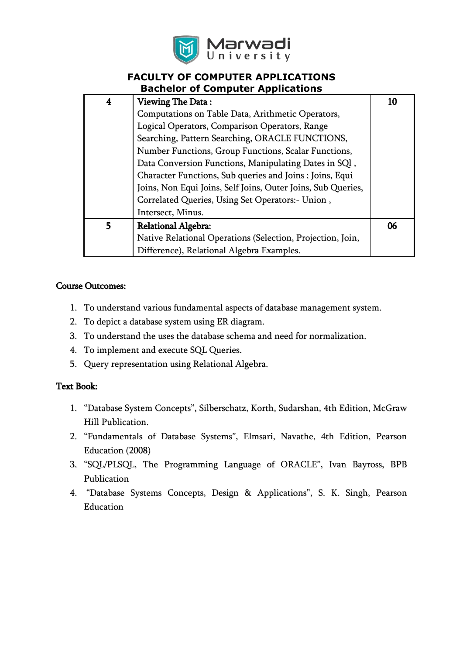

#### **FACULTY OF COMPUTER APPLICATIONS Bachelor of Computer Applications**

| 4 | <b>Viewing The Data:</b>                                     | 10 |
|---|--------------------------------------------------------------|----|
|   | Computations on Table Data, Arithmetic Operators,            |    |
|   | Logical Operators, Comparison Operators, Range               |    |
|   | Searching, Pattern Searching, ORACLE FUNCTIONS,              |    |
|   | Number Functions, Group Functions, Scalar Functions,         |    |
|   | Data Conversion Functions, Manipulating Dates in SQl,        |    |
|   | Character Functions, Sub queries and Joins : Joins, Equi     |    |
|   | Joins, Non Equi Joins, Self Joins, Outer Joins, Sub Queries, |    |
|   | Correlated Queries, Using Set Operators:- Union,             |    |
|   | Intersect, Minus.                                            |    |
| 5 | <b>Relational Algebra:</b>                                   | 06 |
|   | Native Relational Operations (Selection, Projection, Join,   |    |
|   | Difference), Relational Algebra Examples.                    |    |

#### Course Outcomes:

- 1. To understand various fundamental aspects of database management system.
- 2. To depict a database system using ER diagram.
- 3. To understand the uses the database schema and need for normalization.
- 4. To implement and execute SQL Queries.
- 5. Query representation using Relational Algebra.

#### Text Book:

- 1. "Database System Concepts", Silberschatz, Korth, Sudarshan, 4th Edition, McGraw Hill Publication.
- 2. "Fundamentals of Database Systems", Elmsari, Navathe, 4th Edition, Pearson Education (2008)
- 3. "SQL/PLSQL, The Programming Language of ORACLE", Ivan Bayross, BPB Publication
- 4. "Database Systems Concepts, Design & Applications", S. K. Singh, Pearson Education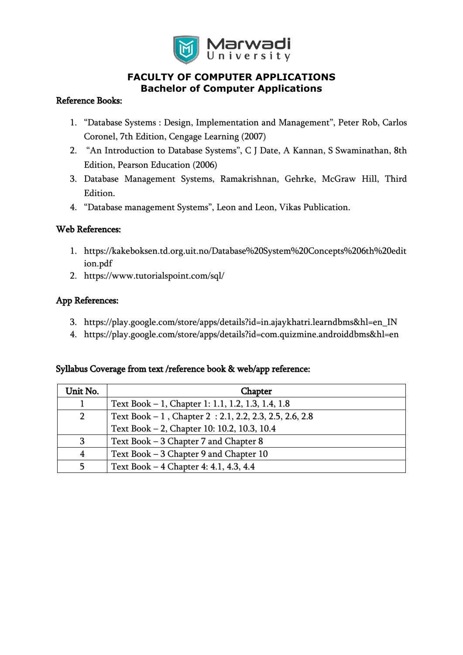

# **FACULTY OF COMPUTER APPLICATIONS Bachelor of Computer Applications**

## Reference Books:

- 1. "Database Systems : Design, Implementation and Management", Peter Rob, Carlos Coronel, 7th Edition, Cengage Learning (2007)
- 2. "An Introduction to Database Systems", C J Date, A Kannan, S Swaminathan, 8th Edition, Pearson Education (2006)
- 3. Database Management Systems, Ramakrishnan, Gehrke, McGraw Hill, Third Edition.
- 4. "Database management Systems", Leon and Leon, Vikas Publication.

## Web References:

- 1. [https://kakeboksen.td.org.uit.no/Database%20System%20Concepts%206th%20edit](https://kakeboksen.td.org.uit.no/Database%20System%20Concepts%206th%20edition.pdf) [ion.pdf](https://kakeboksen.td.org.uit.no/Database%20System%20Concepts%206th%20edition.pdf)
- 2. <https://www.tutorialspoint.com/sql/>

# App References:

- 3. https://play.google.com/store/apps/details?id=in.ajaykhatri.learndbms&hl=en\_IN
- 4. https://play.google.com/store/apps/details?id=com.quizmine.androiddbms&hl=en

#### Syllabus Coverage from text /reference book & web/app reference:

| Unit No.       | <b>Chapter</b>                                            |
|----------------|-----------------------------------------------------------|
|                | Text Book – 1, Chapter 1: 1.1, 1.2, 1.3, 1.4, 1.8         |
| $\overline{2}$ | Text Book $-1$ , Chapter 2 : 2.1, 2.2, 2.3, 2.5, 2.6, 2.8 |
|                | Text Book - 2, Chapter 10: 10.2, 10.3, 10.4               |
| 3              | Text Book – 3 Chapter 7 and Chapter 8                     |
| 4              | Text Book - 3 Chapter 9 and Chapter 10                    |
| 5              | Text Book – 4 Chapter 4: 4.1, 4.3, 4.4                    |